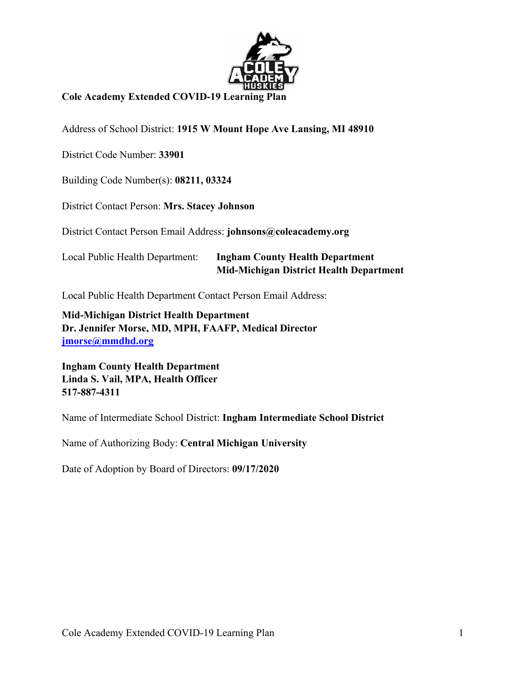

# **Cole Academy Extended COVID-19 Learning Plan**

Address of School District: **1915 W Mount Hope Ave Lansing, MI 48910**

District Code Number: **33901**

Building Code Number(s): **08211, 03324**

District Contact Person: **Mrs. Stacey Johnson**

District Contact Person Email Address: **johnsons@coleacademy.org** 

# Local Public Health Department: **Ingham County Health Department Mid-Michigan District Health Department**

Local Public Health Department Contact Person Email Address:

**Mid-Michigan District Health Department Dr. Jennifer Morse, MD, MPH, FAAFP, Medical Director jmorse@mmdhd.org** 

**Ingham County Health Department Linda S. Vail, MPA, Health Officer 517-887-4311**

Name of Intermediate School District: **Ingham Intermediate School District**

Name of Authorizing Body: **Central Michigan University**

Date of Adoption by Board of Directors: **09/17/2020**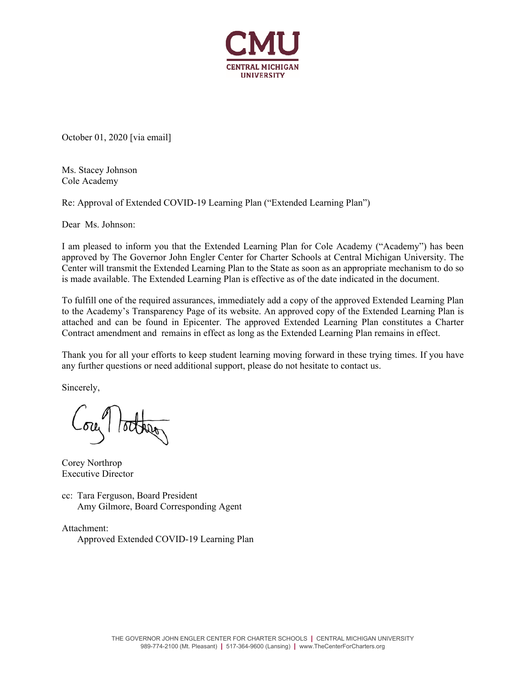

October 01, 2020 [via email]

Ms. Stacey Johnson Cole Academy

Re: Approval of Extended COVID-19 Learning Plan ("Extended Learning Plan")

Dear Ms. Johnson:

I am pleased to inform you that the Extended Learning Plan for Cole Academy ("Academy") has been approved by The Governor John Engler Center for Charter Schools at Central Michigan University. The Center will transmit the Extended Learning Plan to the State as soon as an appropriate mechanism to do so is made available. The Extended Learning Plan is effective as of the date indicated in the document.

To fulfill one of the required assurances, immediately add a copy of the approved Extended Learning Plan to the Academy's Transparency Page of its website. An approved copy of the Extended Learning Plan is attached and can be found in Epicenter. The approved Extended Learning Plan constitutes a Charter Contract amendment and remains in effect as long as the Extended Learning Plan remains in effect.

Thank you for all your efforts to keep student learning moving forward in these trying times. If you have any further questions or need additional support, please do not hesitate to contact us.

Sincerely,

ou lotter

Corey Northrop Executive Director

cc: Tara Ferguson, Board President Amy Gilmore, Board Corresponding Agent

Attachment: Approved Extended COVID-19 Learning Plan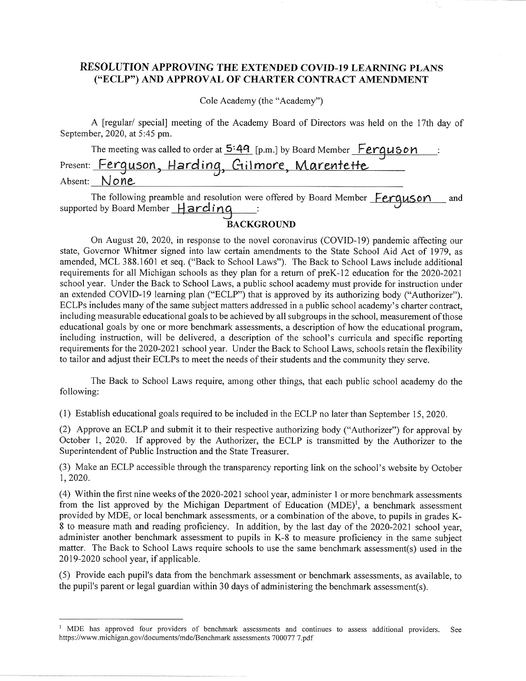# RESOLUTION APPROVING THE EXTENDED COVID-19 LEARNING PLANS ("ECLP") AND APPROVAL OF CHARTER CONTRACT AMENDMENT

Cole Academy (the "Academy")

A [regular/ special] meeting of the Academy Board of Directors was held on the 17th day of September, 2020, at 5:45 pm.

The meeting was called to order at 5:49 [p.m.] by Board Member Ferguson : Absent: None

The following preamble and resolution were offered by Board Member Ferguson and supported by Board Member Harding :

## **BACKGROUND**

On August 20, 2020, in response to the novel coronavirus (COVID-19) pandemic affecting our state, Governor Whitmer signed into law certain amendments to the State School Aid Act of 1979, as amended, MCL 388.1601 et seq. ("Back to School Laws"). The Back to School Laws include additional requirements for all Michigan schools as they plan for a return of preK-12 education for the 2020-2021 school year. Under the Back to School Laws, a public school academy must provide for instruction under an extended COVID-19 learning plan ("ECLP") that is approved by its authorizing body ("Authorizer"). ECLPs includes many of the same subject matters addressed in a public school academy's charter contract, including measurable educational goals to be achieved by all subgroups in the school, measurement of those educational goals by one or more benchmark assessments, a description of how the educational program, including instruction, will be delivered, a description of the school's curricula and specific reporting requirements for the 2020-2021 school year. Under the Back to School Laws, schools retain the flexibility to tailor and adjust their ECLPs to meet the needs of their students and the community they serve.

The Back to School Laws require, among other things, that each public school academy do the following:

(1) Establish educational goals required to be included in the ECLP no later than September 15, 2020.

(2) Approve an ECLP and submit it to their respective authorizing body ("Authorizer") for approval by October 1, 2020. If approved by the Authorizer, the ECLP is transmitted by the Authorizer to the Superintendent of Public Instruction and the State Treasurer.

(3) Make an ECLP accessible through the transparency reporting link on the school's website by October 1, 2020.

(4) Within the first nine weeks of the 2020-2021 school year, administer 1 or more benchmark assessments from the list approved by the Michigan Department of Education (MDE)<sup>1</sup>, a benchmark assessment provided by MDE, or local benchmark assessments, or a combination of the above, to pupils in grades K-8 to measure math and reading proficiency. In addition, by the last day of the 2020-2021 school year. administer another benchmark assessment to pupils in K-8 to measure proficiency in the same subject matter. The Back to School Laws require schools to use the same benchmark assessment(s) used in the 2019-2020 school year, if applicable.

(5) Provide each pupil's data from the benchmark assessment or benchmark assessments, as available, to the pupil's parent or legal guardian within 30 days of administering the benchmark assessment(s).

<sup>&</sup>lt;sup>1</sup> MDE has approved four providers of benchmark assessments and continues to assess additional providers. See https://www.michigan.gov/documents/mde/Benchmark assessments 700077 7.pdf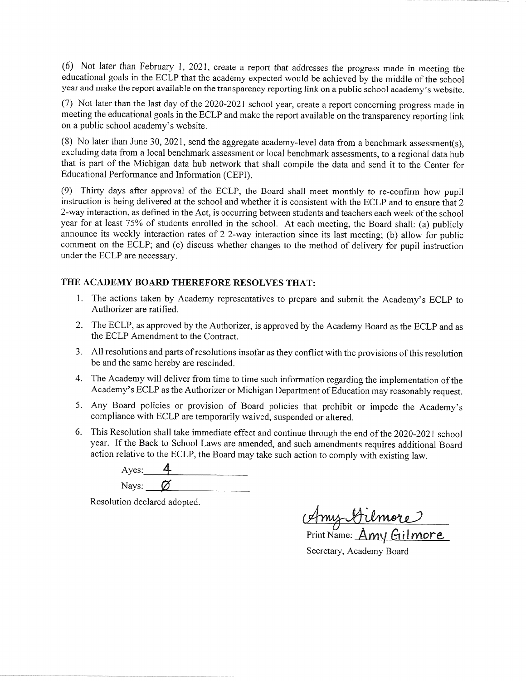(6) Not later than February 1, 2021, create a report that addresses the progress made in meeting the educational goals in the ECLP that the academy expected would be achieved by the middle of the school year and make the report available on the transparency reporting link on a public school academy's website.

(7) Not later than the last day of the 2020-2021 school year, create a report concerning progress made in meeting the educational goals in the ECLP and make the report available on the transparency reporting link on a public school academy's website.

(8) No later than June 30, 2021, send the aggregate academy-level data from a benchmark assessment(s), excluding data from a local benchmark assessment or local benchmark assessments, to a regional data hub that is part of the Michigan data hub network that shall compile the data and send it to the Center for Educational Performance and Information (CEPI).

(9) Thirty days after approval of the ECLP, the Board shall meet monthly to re-confirm how pupil instruction is being delivered at the school and whether it is consistent with the ECLP and to ensure that 2 2-way interaction, as defined in the Act, is occurring between students and teachers each week of the school year for at least 75% of students enrolled in the school. At each meeting, the Board shall: (a) publicly announce its weekly interaction rates of 2 2-way interaction since its last meeting; (b) allow for public comment on the ECLP; and (c) discuss whether changes to the method of delivery for pupil instruction under the ECLP are necessary.

## THE ACADEMY BOARD THEREFORE RESOLVES THAT:

- 1. The actions taken by Academy representatives to prepare and submit the Academy's ECLP to Authorizer are ratified.
- 2. The ECLP, as approved by the Authorizer, is approved by the Academy Board as the ECLP and as the ECLP Amendment to the Contract.
- 3. All resolutions and parts of resolutions insofar as they conflict with the provisions of this resolution be and the same hereby are rescinded.
- 4. The Academy will deliver from time to time such information regarding the implementation of the Academy's ECLP as the Authorizer or Michigan Department of Education may reasonably request.
- 5. Any Board policies or provision of Board policies that prohibit or impede the Academy's compliance with ECLP are temporarily waived, suspended or altered.
- 6. This Resolution shall take immediate effect and continue through the end of the 2020-2021 school year. If the Back to School Laws are amended, and such amendments requires additional Board action relative to the ECLP, the Board may take such action to comply with existing law.

Ayes: Nays:  $\alpha$ 

Resolution declared adopted.

Any Almore

Secretary, Academy Board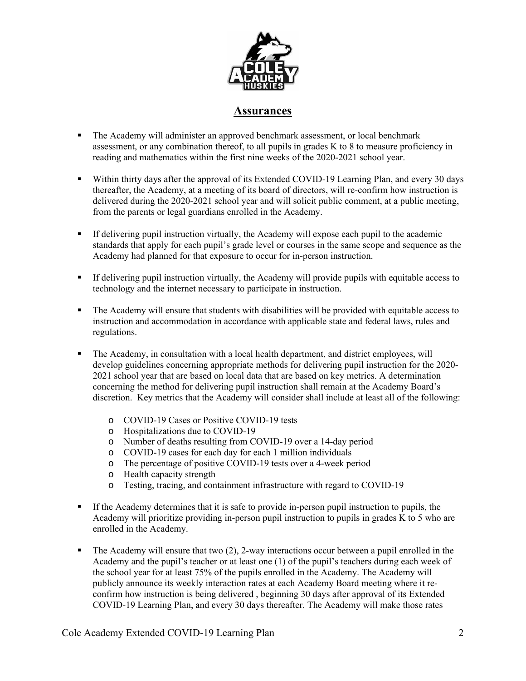

## **Assurances**

- The Academy will administer an approved benchmark assessment, or local benchmark assessment, or any combination thereof, to all pupils in grades K to 8 to measure proficiency in reading and mathematics within the first nine weeks of the 2020-2021 school year.
- Within thirty days after the approval of its Extended COVID-19 Learning Plan, and every 30 days thereafter, the Academy, at a meeting of its board of directors, will re-confirm how instruction is delivered during the 2020-2021 school year and will solicit public comment, at a public meeting, from the parents or legal guardians enrolled in the Academy.
- If delivering pupil instruction virtually, the Academy will expose each pupil to the academic standards that apply for each pupil's grade level or courses in the same scope and sequence as the Academy had planned for that exposure to occur for in-person instruction.
- If delivering pupil instruction virtually, the Academy will provide pupils with equitable access to technology and the internet necessary to participate in instruction.
- The Academy will ensure that students with disabilities will be provided with equitable access to instruction and accommodation in accordance with applicable state and federal laws, rules and regulations.
- The Academy, in consultation with a local health department, and district employees, will develop guidelines concerning appropriate methods for delivering pupil instruction for the 2020- 2021 school year that are based on local data that are based on key metrics. A determination concerning the method for delivering pupil instruction shall remain at the Academy Board's discretion. Key metrics that the Academy will consider shall include at least all of the following:
	- o COVID-19 Cases or Positive COVID-19 tests
	- o Hospitalizations due to COVID-19
	- o Number of deaths resulting from COVID-19 over a 14-day period
	- o COVID-19 cases for each day for each 1 million individuals
	- o The percentage of positive COVID-19 tests over a 4-week period
	- o Health capacity strength
	- o Testing, tracing, and containment infrastructure with regard to COVID-19
- If the Academy determines that it is safe to provide in-person pupil instruction to pupils, the Academy will prioritize providing in-person pupil instruction to pupils in grades K to 5 who are enrolled in the Academy.
- $\blacksquare$  The Academy will ensure that two (2), 2-way interactions occur between a pupil enrolled in the Academy and the pupil's teacher or at least one (1) of the pupil's teachers during each week of the school year for at least 75% of the pupils enrolled in the Academy. The Academy will publicly announce its weekly interaction rates at each Academy Board meeting where it reconfirm how instruction is being delivered , beginning 30 days after approval of its Extended COVID-19 Learning Plan, and every 30 days thereafter. The Academy will make those rates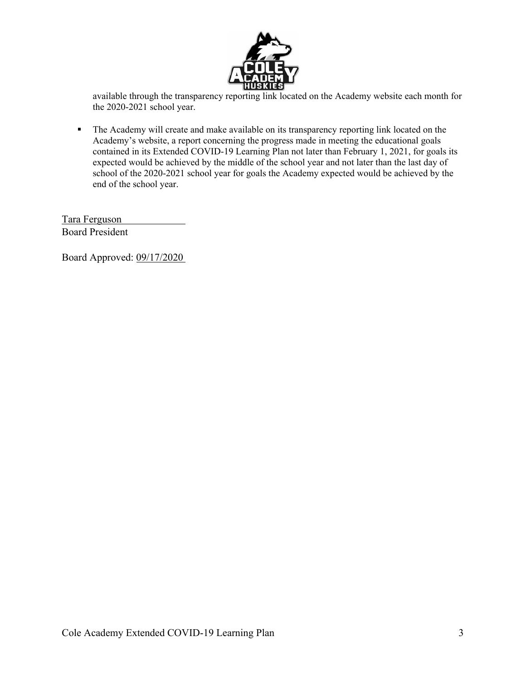

available through the transparency reporting link located on the Academy website each month for the 2020-2021 school year.

The Academy will create and make available on its transparency reporting link located on the Academy's website, a report concerning the progress made in meeting the educational goals contained in its Extended COVID-19 Learning Plan not later than February 1, 2021, for goals its expected would be achieved by the middle of the school year and not later than the last day of school of the 2020-2021 school year for goals the Academy expected would be achieved by the end of the school year.

Tara Ferguson Board President

Board Approved: 09/17/2020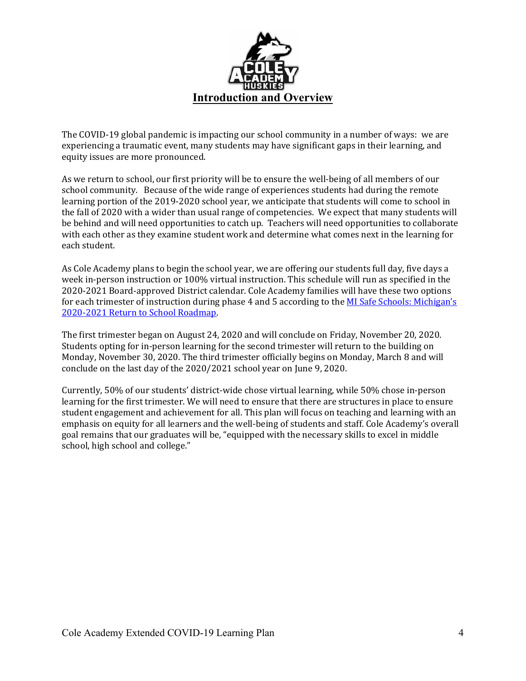

The COVID-19 global pandemic is impacting our school community in a number of ways: we are experiencing a traumatic event, many students may have significant gaps in their learning, and equity issues are more pronounced.

As we return to school, our first priority will be to ensure the well-being of all members of our school community. Because of the wide range of experiences students had during the remote learning portion of the 2019-2020 school year, we anticipate that students will come to school in the fall of 2020 with a wider than usual range of competencies. We expect that many students will be behind and will need opportunities to catch up. Teachers will need opportunities to collaborate with each other as they examine student work and determine what comes next in the learning for each student. 

As Cole Academy plans to begin the school year, we are offering our students full day, five days a week in-person instruction or 100% virtual instruction. This schedule will run as specified in the 2020-2021 Board-approved District calendar. Cole Academy families will have these two options for each trimester of instruction during phase 4 and 5 according to the MI Safe Schools: Michigan's 2020-2021 Return to School Roadmap.

The first trimester began on August 24, 2020 and will conclude on Friday, November 20, 2020. Students opting for in-person learning for the second trimester will return to the building on Monday, November 30, 2020. The third trimester officially begins on Monday, March 8 and will conclude on the last day of the 2020/2021 school year on June 9, 2020.

Currently, 50% of our students' district-wide chose virtual learning, while 50% chose in-person learning for the first trimester. We will need to ensure that there are structures in place to ensure student engagement and achievement for all. This plan will focus on teaching and learning with an emphasis on equity for all learners and the well-being of students and staff. Cole Academy's overall goal remains that our graduates will be, "equipped with the necessary skills to excel in middle school, high school and college."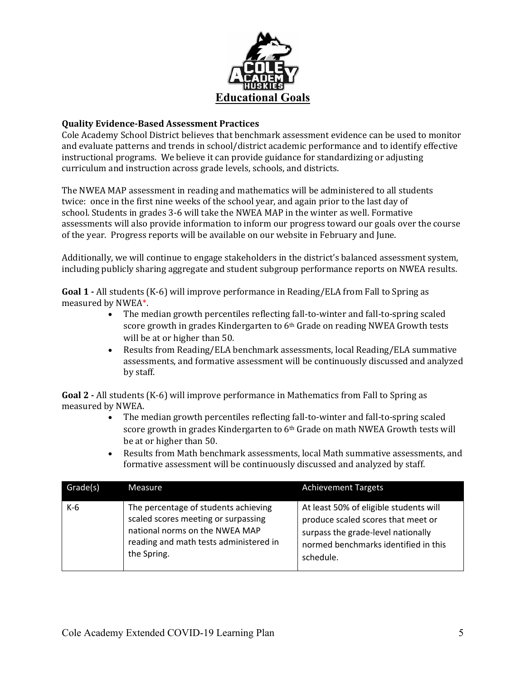

## **Quality Evidence‐Based Assessment Practices**

Cole Academy School District believes that benchmark assessment evidence can be used to monitor and evaluate patterns and trends in school/district academic performance and to identify effective instructional programs. We believe it can provide guidance for standardizing or adjusting curriculum and instruction across grade levels, schools, and districts.

The NWEA MAP assessment in reading and mathematics will be administered to all students twice: once in the first nine weeks of the school year, and again prior to the last day of school. Students in grades 3-6 will take the NWEA MAP in the winter as well. Formative assessments will also provide information to inform our progress toward our goals over the course of the year. Progress reports will be available on our website in February and June.

Additionally, we will continue to engage stakeholders in the district's balanced assessment system, including publicly sharing aggregate and student subgroup performance reports on NWEA results.

**Goal 1** - All students (K-6) will improve performance in Reading/ELA from Fall to Spring as measured by NWEA\*.

- The median growth percentiles reflecting fall-to-winter and fall-to-spring scaled score growth in grades Kindergarten to  $6<sup>th</sup>$  Grade on reading NWEA Growth tests will be at or higher than 50.
- Results from Reading/ELA benchmark assessments, local Reading/ELA summative assessments, and formative assessment will be continuously discussed and analyzed by staff.

**Goal 2** - All students (K-6) will improve performance in Mathematics from Fall to Spring as measured by NWEA.

- The median growth percentiles reflecting fall-to-winter and fall-to-spring scaled score growth in grades Kindergarten to  $6<sup>th</sup>$  Grade on math NWEA Growth tests will be at or higher than 50.
- Results from Math benchmark assessments, local Math summative assessments, and formative assessment will be continuously discussed and analyzed by staff.

| Grade(s) | Measure                                                                                                                                                                | <b>Achievement Targets</b>                                                                                                                                              |
|----------|------------------------------------------------------------------------------------------------------------------------------------------------------------------------|-------------------------------------------------------------------------------------------------------------------------------------------------------------------------|
| $K-6$    | The percentage of students achieving<br>scaled scores meeting or surpassing<br>national norms on the NWEA MAP<br>reading and math tests administered in<br>the Spring. | At least 50% of eligible students will<br>produce scaled scores that meet or<br>surpass the grade-level nationally<br>normed benchmarks identified in this<br>schedule. |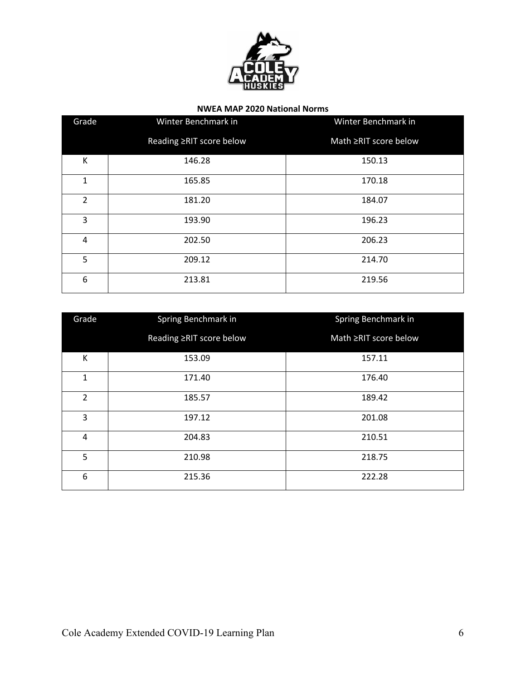

## **NWEA MAP 2020 National Norms**

| Grade          | Winter Benchmark in      | Winter Benchmark in   |
|----------------|--------------------------|-----------------------|
|                | Reading ≥RIT score below | Math ≥RIT score below |
| К              | 146.28                   | 150.13                |
| $\mathbf{1}$   | 165.85                   | 170.18                |
| $\overline{2}$ | 181.20                   | 184.07                |
| 3              | 193.90                   | 196.23                |
| 4              | 202.50                   | 206.23                |
| 5              | 209.12                   | 214.70                |
| 6              | 213.81                   | 219.56                |

| Grade          | Spring Benchmark in      | Spring Benchmark in   |
|----------------|--------------------------|-----------------------|
|                | Reading ≥RIT score below | Math ≥RIT score below |
| К              | 153.09                   | 157.11                |
| $\mathbf{1}$   | 171.40                   | 176.40                |
| $\overline{2}$ | 185.57                   | 189.42                |
| 3              | 197.12                   | 201.08                |
| 4              | 204.83                   | 210.51                |
| 5              | 210.98                   | 218.75                |
| 6              | 215.36                   | 222.28                |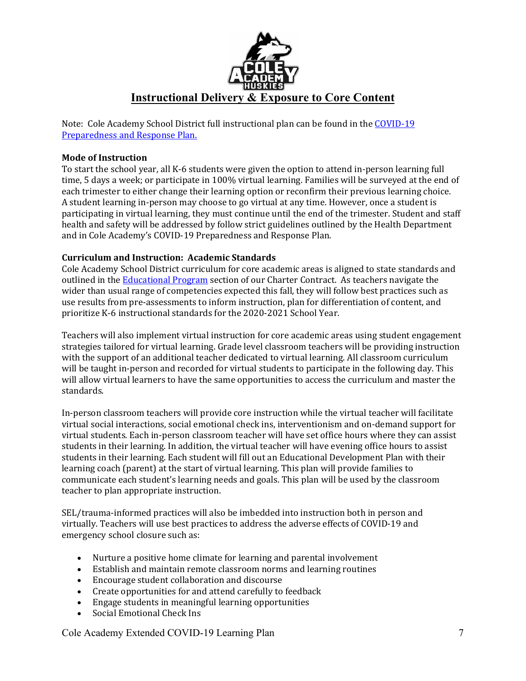

Note: Cole Academy School District full instructional plan can be found in the COVID-19 Preparedness and Response Plan.

## **Mode of Instruction**

To start the school year, all K-6 students were given the option to attend in-person learning full time, 5 days a week; or participate in 100% virtual learning. Families will be surveyed at the end of each trimester to either change their learning option or reconfirm their previous learning choice. A student learning in-person may choose to go virtual at any time. However, once a student is participating in virtual learning, they must continue until the end of the trimester. Student and staff health and safety will be addressed by follow strict guidelines outlined by the Health Department and in Cole Academy's COVID-19 Preparedness and Response Plan.

## **Curriculum and Instruction: Academic Standards**

Cole Academy School District curriculum for core academic areas is aligned to state standards and outlined in the Educational Program section of our Charter Contract. As teachers navigate the wider than usual range of competencies expected this fall, they will follow best practices such as use results from pre-assessments to inform instruction, plan for differentiation of content, and prioritize K-6 instructional standards for the 2020-2021 School Year.

Teachers will also implement virtual instruction for core academic areas using student engagement strategies tailored for virtual learning. Grade level classroom teachers will be providing instruction with the support of an additional teacher dedicated to virtual learning. All classroom curriculum will be taught in-person and recorded for virtual students to participate in the following day. This will allow virtual learners to have the same opportunities to access the curriculum and master the standards. 

In-person classroom teachers will provide core instruction while the virtual teacher will facilitate virtual social interactions, social emotional check ins, interventionism and on-demand support for virtual students. Each in-person classroom teacher will have set office hours where they can assist students in their learning. In addition, the virtual teacher will have evening office hours to assist students in their learning. Each student will fill out an Educational Development Plan with their learning coach (parent) at the start of virtual learning. This plan will provide families to communicate each student's learning needs and goals. This plan will be used by the classroom teacher to plan appropriate instruction.

SEL/trauma-informed practices will also be imbedded into instruction both in person and virtually. Teachers will use best practices to address the adverse effects of COVID-19 and emergency school closure such as:

- Nurture a positive home climate for learning and parental involvement
- Establish and maintain remote classroom norms and learning routines
- Encourage student collaboration and discourse
- Create opportunities for and attend carefully to feedback
- Engage students in meaningful learning opportunities
- Social Emotional Check Ins

Cole Academy Extended COVID-19 Learning Plan 7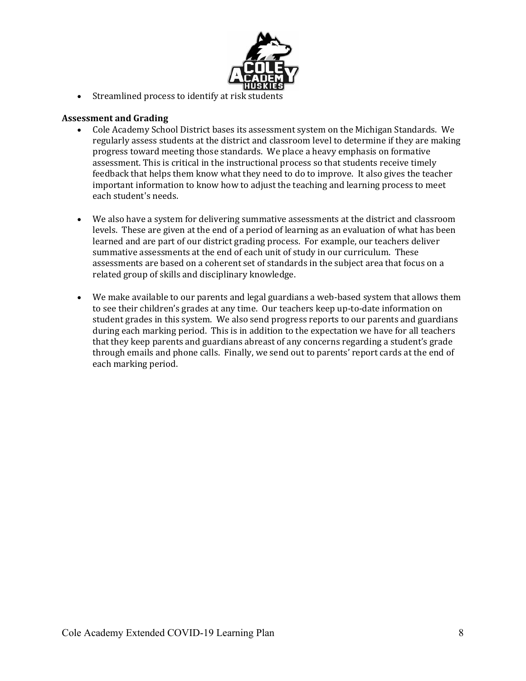

• Streamlined process to identify at risk students

#### **Assessment and Grading**

- Cole Academy School District bases its assessment system on the Michigan Standards. We regularly assess students at the district and classroom level to determine if they are making progress toward meeting those standards. We place a heavy emphasis on formative assessment. This is critical in the instructional process so that students receive timely feedback that helps them know what they need to do to improve. It also gives the teacher important information to know how to adjust the teaching and learning process to meet each student's needs.
- We also have a system for delivering summative assessments at the district and classroom levels. These are given at the end of a period of learning as an evaluation of what has been learned and are part of our district grading process. For example, our teachers deliver summative assessments at the end of each unit of study in our curriculum. These assessments are based on a coherent set of standards in the subject area that focus on a related group of skills and disciplinary knowledge.
- We make available to our parents and legal guardians a web-based system that allows them to see their children's grades at any time. Our teachers keep up-to-date information on student grades in this system. We also send progress reports to our parents and guardians during each marking period. This is in addition to the expectation we have for all teachers that they keep parents and guardians abreast of any concerns regarding a student's grade through emails and phone calls. Finally, we send out to parents' report cards at the end of each marking period.